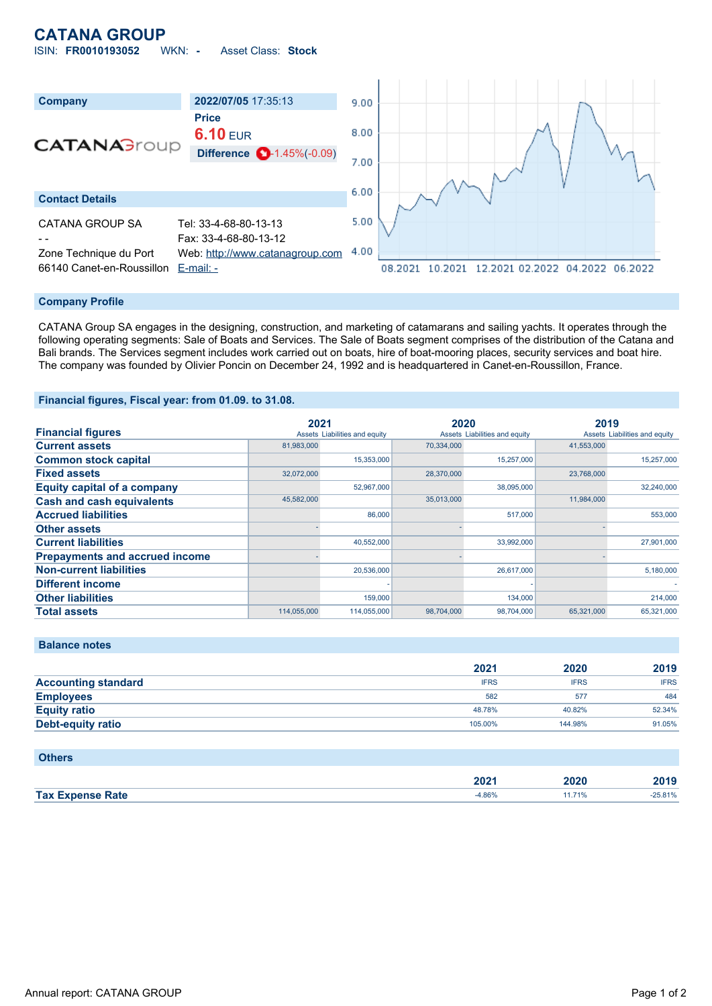# **CATANA GROUP**

ISIN: **FR0010193052** WKN: **-** Asset Class: **Stock**



#### **Company Profile**

CATANA Group SA engages in the designing, construction, and marketing of catamarans and sailing yachts. It operates through the following operating segments: Sale of Boats and Services. The Sale of Boats segment comprises of the distribution of the Catana and Bali brands. The Services segment includes work carried out on boats, hire of boat-mooring places, security services and boat hire. The company was founded by Olivier Poncin on December 24, 1992 and is headquartered in Canet-en-Roussillon, France.

### **Financial figures, Fiscal year: from 01.09. to 31.08.**

|                                       | 2021        |                               | 2020       |                               | 2019       |                               |
|---------------------------------------|-------------|-------------------------------|------------|-------------------------------|------------|-------------------------------|
| <b>Financial figures</b>              |             | Assets Liabilities and equity |            | Assets Liabilities and equity |            | Assets Liabilities and equity |
| <b>Current assets</b>                 | 81.983.000  |                               | 70,334,000 |                               | 41,553,000 |                               |
| <b>Common stock capital</b>           |             | 15.353.000                    |            | 15,257,000                    |            | 15,257,000                    |
| <b>Fixed assets</b>                   | 32.072.000  |                               | 28,370,000 |                               | 23.768.000 |                               |
| <b>Equity capital of a company</b>    |             | 52,967,000                    |            | 38,095,000                    |            | 32,240,000                    |
| <b>Cash and cash equivalents</b>      | 45,582,000  |                               | 35,013,000 |                               | 11,984,000 |                               |
| <b>Accrued liabilities</b>            |             | 86,000                        |            | 517,000                       |            | 553,000                       |
| <b>Other assets</b>                   |             |                               |            |                               |            |                               |
| <b>Current liabilities</b>            |             | 40,552,000                    |            | 33,992,000                    |            | 27,901,000                    |
| <b>Prepayments and accrued income</b> |             |                               |            |                               |            |                               |
| <b>Non-current liabilities</b>        |             | 20,536,000                    |            | 26,617,000                    |            | 5,180,000                     |
| <b>Different income</b>               |             |                               |            |                               |            |                               |
| <b>Other liabilities</b>              |             | 159,000                       |            | 134,000                       |            | 214,000                       |
| <b>Total assets</b>                   | 114,055,000 | 114,055,000                   | 98,704,000 | 98,704,000                    | 65,321,000 | 65,321,000                    |

|  | <b>Balance notes</b> |  |
|--|----------------------|--|
|  |                      |  |

|                            | 2021        | 2020        | 2019        |
|----------------------------|-------------|-------------|-------------|
| <b>Accounting standard</b> | <b>IFRS</b> | <b>IFRS</b> | <b>IFRS</b> |
| <b>Employees</b>           | 582         | 577         | 484         |
| <b>Equity ratio</b>        | 48.78%      | 40.82%      | 52.34%      |
| <b>Debt-equity ratio</b>   | 105.00%     | 144.98%     | 91.05%      |

### **Others**

|                                     | ירחר<br>ZUZ F | 2020             | $\sim$ 4 $\sim$ |
|-------------------------------------|---------------|------------------|-----------------|
| Tax $E$<br>Rate<br><b>Exnense</b> K |               | 710 <sub>6</sub> | 5.81%           |